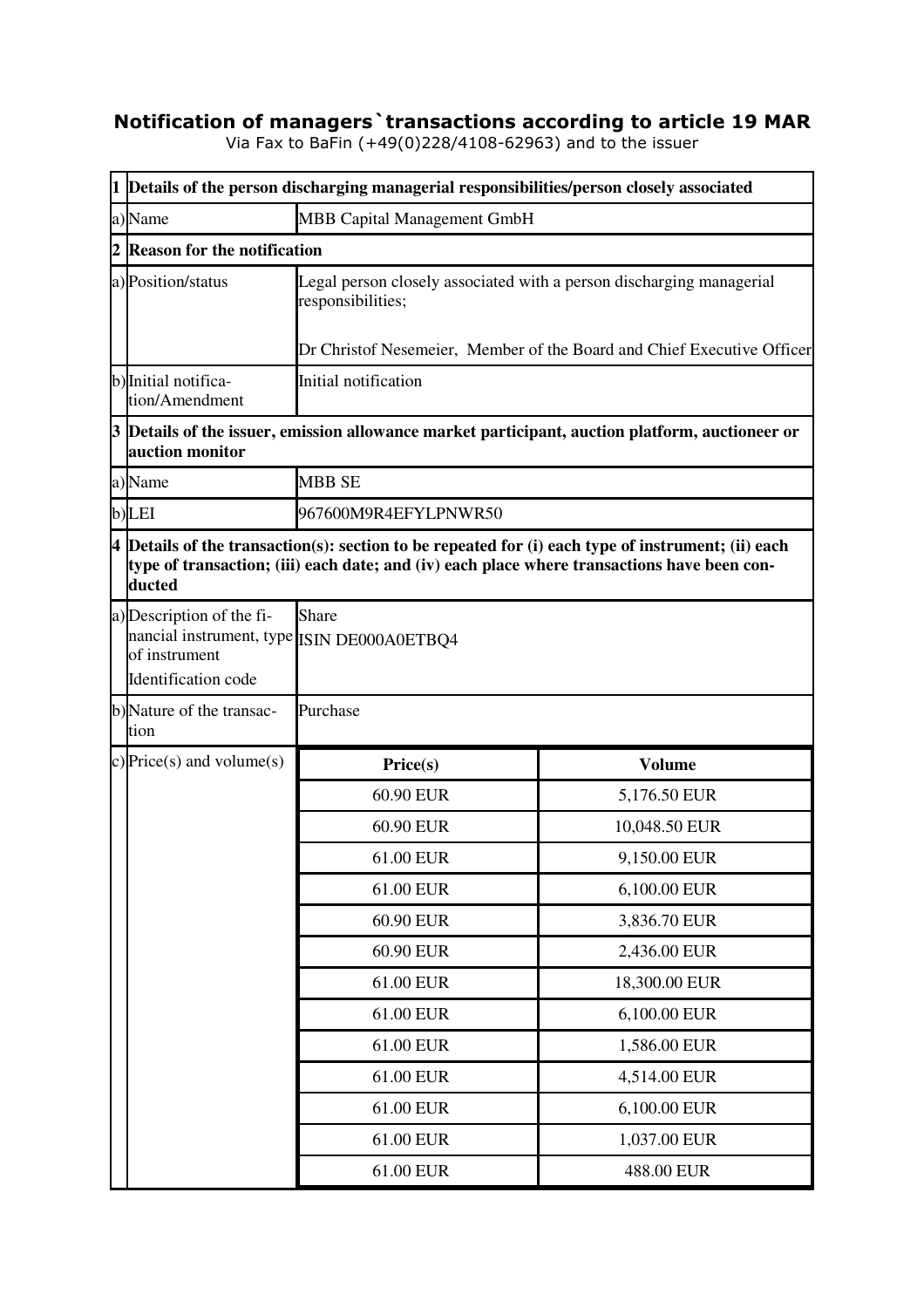## **Notification of managers`transactions according to article 19 MAR**

Via Fax to BaFin (+49(0)228/4108-62963) and to the issuer

|                | 1 Details of the person discharging managerial responsibilities/person closely associated                          |                                                                                                                                                                                                   |               |  |  |  |
|----------------|--------------------------------------------------------------------------------------------------------------------|---------------------------------------------------------------------------------------------------------------------------------------------------------------------------------------------------|---------------|--|--|--|
|                | a)Name<br><b>MBB Capital Management GmbH</b>                                                                       |                                                                                                                                                                                                   |               |  |  |  |
| $\overline{2}$ |                                                                                                                    | <b>Reason for the notification</b>                                                                                                                                                                |               |  |  |  |
|                | a) Position/status                                                                                                 | Legal person closely associated with a person discharging managerial<br>responsibilities;                                                                                                         |               |  |  |  |
|                |                                                                                                                    | Dr Christof Nesemeier, Member of the Board and Chief Executive Officer                                                                                                                            |               |  |  |  |
|                | b) Initial notifica-<br>tion/Amendment                                                                             | Initial notification                                                                                                                                                                              |               |  |  |  |
|                | 3 Details of the issuer, emission allowance market participant, auction platform, auctioneer or<br>auction monitor |                                                                                                                                                                                                   |               |  |  |  |
|                | a)Name                                                                                                             | <b>MBB SE</b>                                                                                                                                                                                     |               |  |  |  |
|                | b)LEI                                                                                                              | 967600M9R4EFYLPNWR50                                                                                                                                                                              |               |  |  |  |
|                | ducted                                                                                                             | 4 Details of the transaction(s): section to be repeated for (i) each type of instrument; (ii) each<br>type of transaction; (iii) each date; and (iv) each place where transactions have been con- |               |  |  |  |
|                | a) Description of the fi-<br>nancial instrument, type ISIN DE000A0ETBQ4<br>of instrument<br>Identification code    | <b>Share</b>                                                                                                                                                                                      |               |  |  |  |
|                | b)Nature of the transac-<br>tion                                                                                   | Purchase                                                                                                                                                                                          |               |  |  |  |
|                | c) Price(s) and volume(s)                                                                                          | Price(s)                                                                                                                                                                                          | <b>Volume</b> |  |  |  |
|                |                                                                                                                    | 60.90 EUR                                                                                                                                                                                         | 5,176.50 EUR  |  |  |  |
|                |                                                                                                                    | 60.90 EUR                                                                                                                                                                                         | 10,048.50 EUR |  |  |  |
|                |                                                                                                                    | 61.00 EUR                                                                                                                                                                                         | 9,150.00 EUR  |  |  |  |
|                |                                                                                                                    | 61.00 EUR                                                                                                                                                                                         | 6,100.00 EUR  |  |  |  |
|                |                                                                                                                    | 60.90 EUR                                                                                                                                                                                         | 3,836.70 EUR  |  |  |  |
|                |                                                                                                                    | 60.90 EUR                                                                                                                                                                                         | 2,436.00 EUR  |  |  |  |
|                |                                                                                                                    | 61.00 EUR                                                                                                                                                                                         | 18,300.00 EUR |  |  |  |
|                |                                                                                                                    | 61.00 EUR                                                                                                                                                                                         | 6,100.00 EUR  |  |  |  |
|                |                                                                                                                    | 61.00 EUR                                                                                                                                                                                         | 1,586.00 EUR  |  |  |  |
|                |                                                                                                                    | 61.00 EUR                                                                                                                                                                                         | 4,514.00 EUR  |  |  |  |
|                |                                                                                                                    | 61.00 EUR                                                                                                                                                                                         | 6,100.00 EUR  |  |  |  |
|                |                                                                                                                    | 61.00 EUR                                                                                                                                                                                         | 1,037.00 EUR  |  |  |  |
|                |                                                                                                                    | 61.00 EUR                                                                                                                                                                                         | 488.00 EUR    |  |  |  |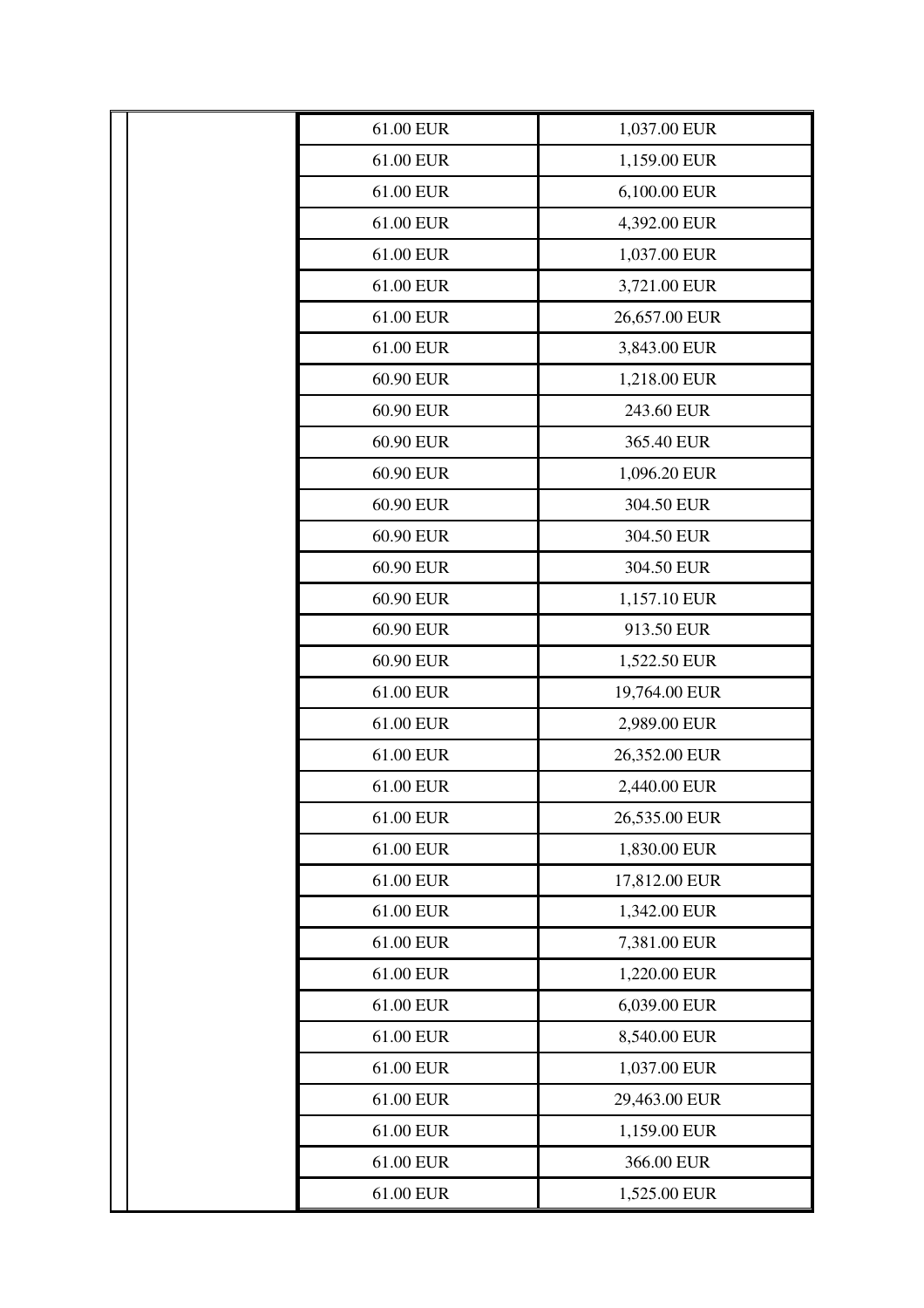| 61.00 EUR | 1,037.00 EUR  |
|-----------|---------------|
| 61.00 EUR | 1,159.00 EUR  |
| 61.00 EUR | 6,100.00 EUR  |
| 61.00 EUR | 4,392.00 EUR  |
| 61.00 EUR | 1,037.00 EUR  |
| 61.00 EUR | 3,721.00 EUR  |
| 61.00 EUR | 26,657.00 EUR |
| 61.00 EUR | 3,843.00 EUR  |
| 60.90 EUR | 1,218.00 EUR  |
| 60.90 EUR | 243.60 EUR    |
| 60.90 EUR | 365.40 EUR    |
| 60.90 EUR | 1,096.20 EUR  |
| 60.90 EUR | 304.50 EUR    |
| 60.90 EUR | 304.50 EUR    |
| 60.90 EUR | 304.50 EUR    |
| 60.90 EUR | 1,157.10 EUR  |
| 60.90 EUR | 913.50 EUR    |
| 60.90 EUR | 1,522.50 EUR  |
| 61.00 EUR | 19,764.00 EUR |
| 61.00 EUR | 2,989.00 EUR  |
| 61.00 EUR | 26,352.00 EUR |
| 61.00 EUR | 2,440.00 EUR  |
| 61.00 EUR | 26,535.00 EUR |
| 61.00 EUR | 1,830.00 EUR  |
| 61.00 EUR | 17,812.00 EUR |
| 61.00 EUR | 1,342.00 EUR  |
| 61.00 EUR | 7,381.00 EUR  |
| 61.00 EUR | 1,220.00 EUR  |
| 61.00 EUR | 6,039.00 EUR  |
| 61.00 EUR | 8,540.00 EUR  |
| 61.00 EUR | 1,037.00 EUR  |
| 61.00 EUR | 29,463.00 EUR |
| 61.00 EUR | 1,159.00 EUR  |
| 61.00 EUR | 366.00 EUR    |
| 61.00 EUR | 1,525.00 EUR  |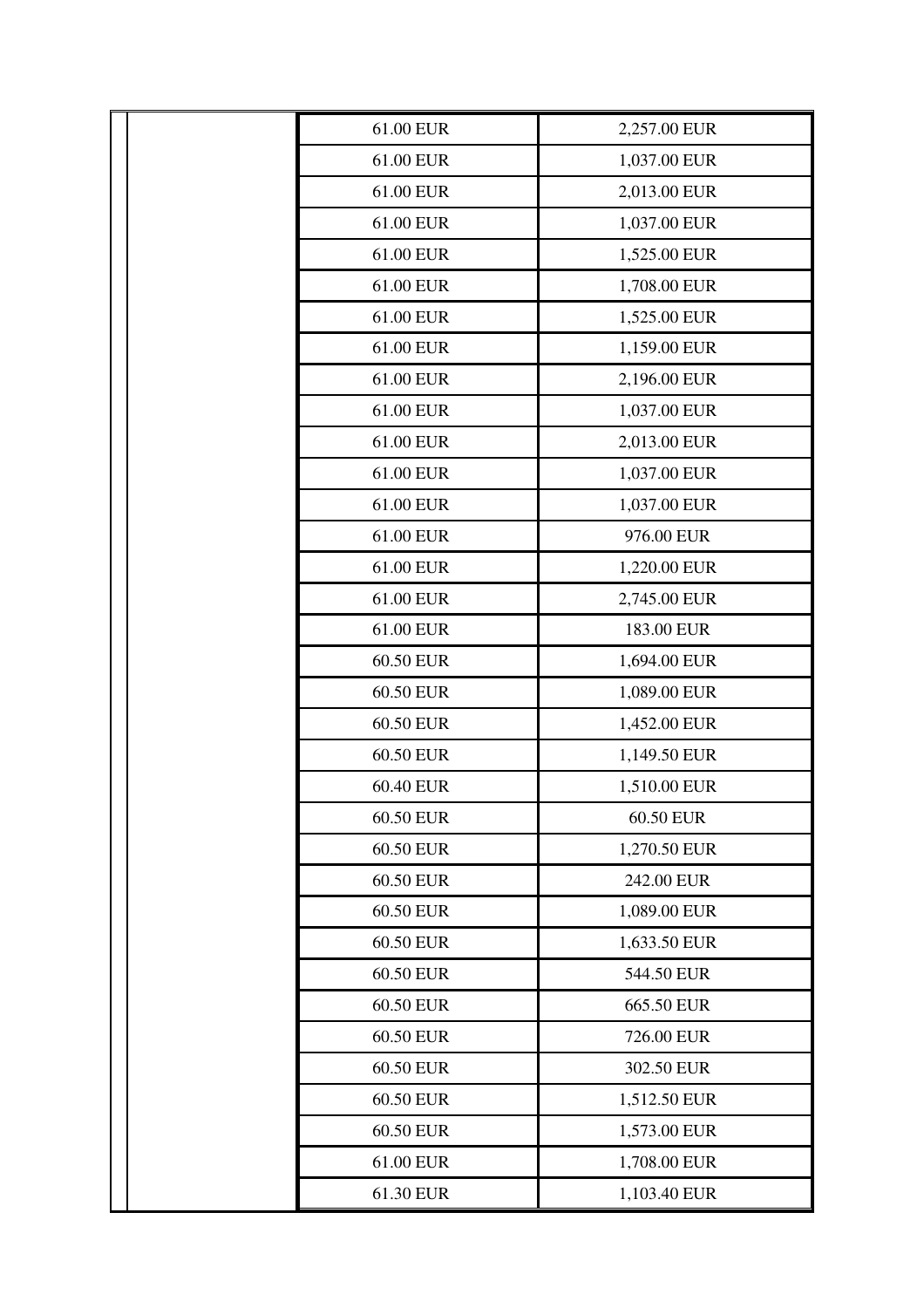| 61.00 EUR | 2,257.00 EUR |
|-----------|--------------|
| 61.00 EUR | 1,037.00 EUR |
| 61.00 EUR | 2,013.00 EUR |
| 61.00 EUR | 1,037.00 EUR |
| 61.00 EUR | 1,525.00 EUR |
| 61.00 EUR | 1,708.00 EUR |
| 61.00 EUR | 1,525.00 EUR |
| 61.00 EUR | 1,159.00 EUR |
| 61.00 EUR | 2,196.00 EUR |
| 61.00 EUR | 1,037.00 EUR |
| 61.00 EUR | 2,013.00 EUR |
| 61.00 EUR | 1,037.00 EUR |
| 61.00 EUR | 1,037.00 EUR |
| 61.00 EUR | 976.00 EUR   |
| 61.00 EUR | 1,220.00 EUR |
| 61.00 EUR | 2,745.00 EUR |
| 61.00 EUR | 183.00 EUR   |
| 60.50 EUR | 1,694.00 EUR |
| 60.50 EUR | 1,089.00 EUR |
| 60.50 EUR | 1,452.00 EUR |
| 60.50 EUR | 1,149.50 EUR |
| 60.40 EUR | 1,510.00 EUR |
| 60.50 EUR | 60.50 EUR    |
| 60.50 EUR | 1,270.50 EUR |
| 60.50 EUR | 242.00 EUR   |
| 60.50 EUR | 1,089.00 EUR |
| 60.50 EUR | 1,633.50 EUR |
| 60.50 EUR | 544.50 EUR   |
| 60.50 EUR | 665.50 EUR   |
| 60.50 EUR | 726.00 EUR   |
| 60.50 EUR | 302.50 EUR   |
| 60.50 EUR | 1,512.50 EUR |
| 60.50 EUR | 1,573.00 EUR |
| 61.00 EUR | 1,708.00 EUR |
| 61.30 EUR | 1,103.40 EUR |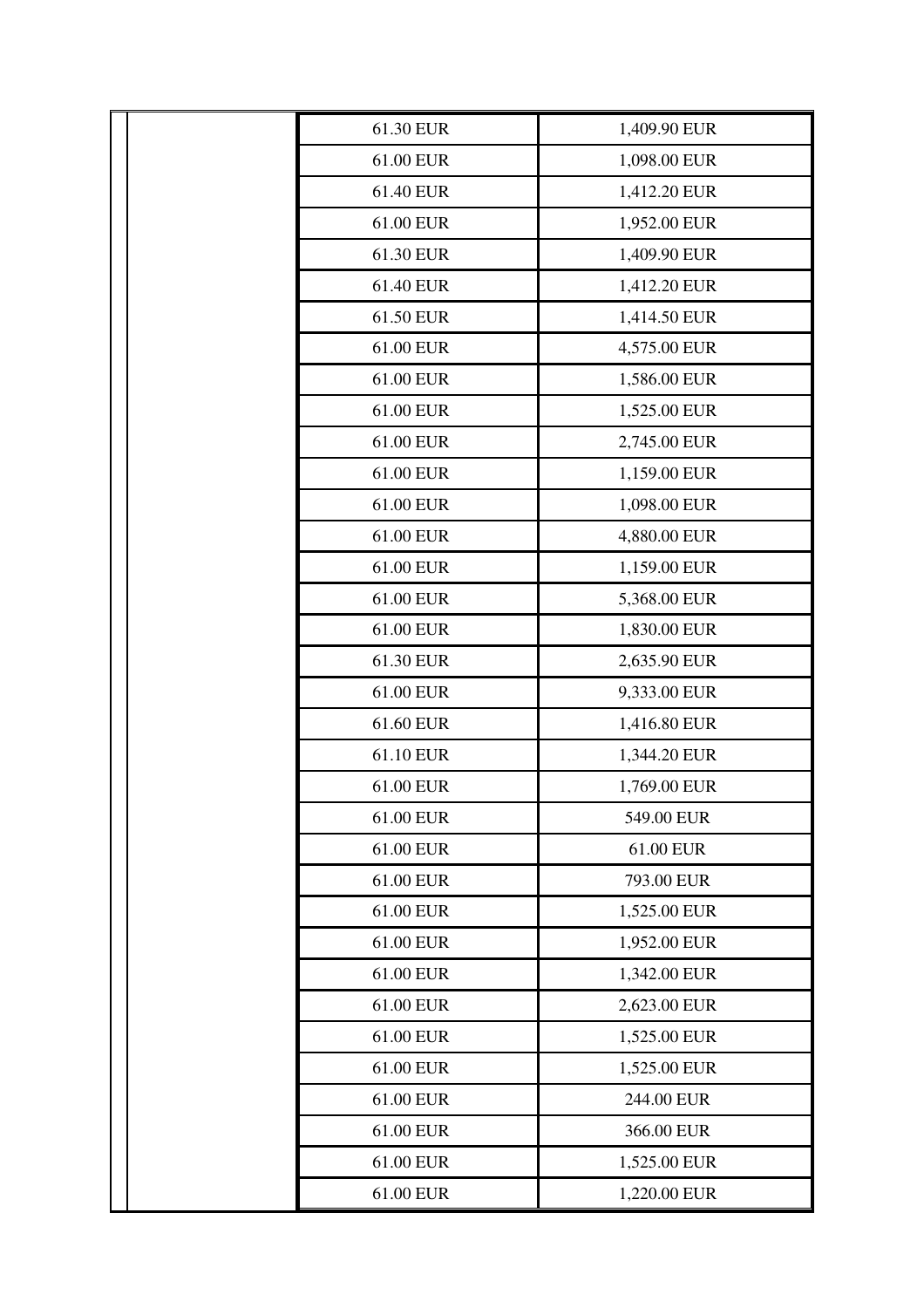| 61.30 EUR | 1,409.90 EUR |
|-----------|--------------|
| 61.00 EUR | 1,098.00 EUR |
| 61.40 EUR | 1,412.20 EUR |
| 61.00 EUR | 1,952.00 EUR |
| 61.30 EUR | 1,409.90 EUR |
| 61.40 EUR | 1,412.20 EUR |
| 61.50 EUR | 1,414.50 EUR |
| 61.00 EUR | 4,575.00 EUR |
| 61.00 EUR | 1,586.00 EUR |
| 61.00 EUR | 1,525.00 EUR |
| 61.00 EUR | 2,745.00 EUR |
| 61.00 EUR | 1,159.00 EUR |
| 61.00 EUR | 1,098.00 EUR |
| 61.00 EUR | 4,880.00 EUR |
| 61.00 EUR | 1,159.00 EUR |
| 61.00 EUR | 5,368.00 EUR |
| 61.00 EUR | 1,830.00 EUR |
| 61.30 EUR | 2,635.90 EUR |
| 61.00 EUR | 9,333.00 EUR |
| 61.60 EUR | 1,416.80 EUR |
| 61.10 EUR | 1,344.20 EUR |
| 61.00 EUR | 1,769.00 EUR |
| 61.00 EUR | 549.00 EUR   |
| 61.00 EUR | 61.00 EUR    |
| 61.00 EUR | 793.00 EUR   |
| 61.00 EUR | 1,525.00 EUR |
| 61.00 EUR | 1,952.00 EUR |
| 61.00 EUR | 1,342.00 EUR |
| 61.00 EUR | 2,623.00 EUR |
| 61.00 EUR | 1,525.00 EUR |
| 61.00 EUR | 1,525.00 EUR |
| 61.00 EUR | 244.00 EUR   |
| 61.00 EUR | 366.00 EUR   |
| 61.00 EUR | 1,525.00 EUR |
| 61.00 EUR | 1,220.00 EUR |